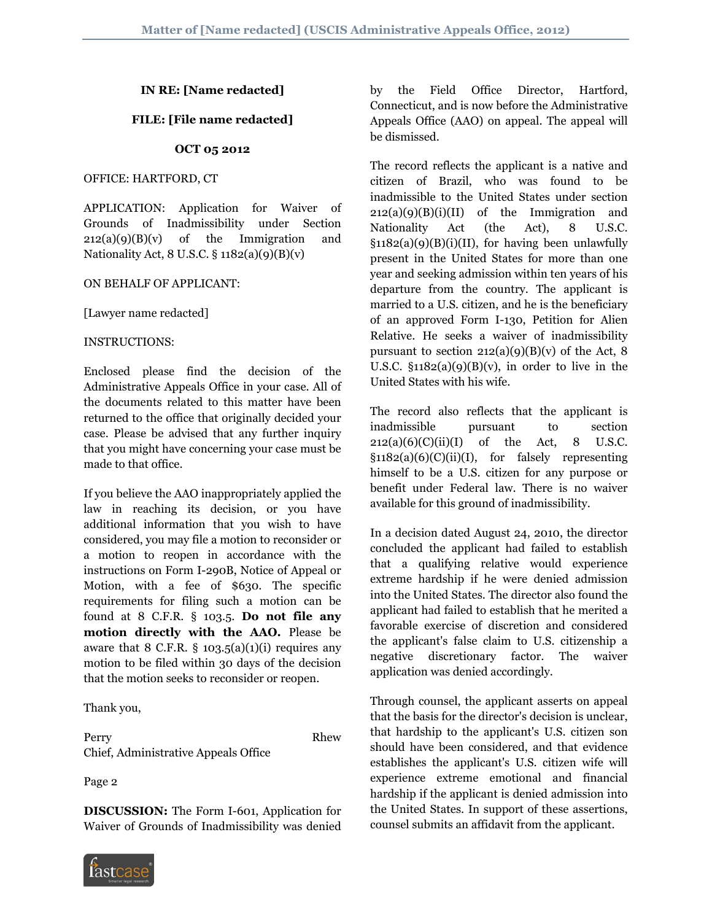# **IN RE: [Name redacted]**

## **FILE: [File name redacted]**

#### **OCT 05 2012**

#### OFFICE: HARTFORD, CT

APPLICATION: Application for Waiver of Grounds of Inadmissibility under Section  $212(a)(9)(B)(v)$  of the Immigration and Nationality Act, 8 U.S.C. § 1182(a)(9)(B)(v)

#### ON BEHALF OF APPLICANT:

[Lawyer name redacted]

### INSTRUCTIONS:

Enclosed please find the decision of the Administrative Appeals Office in your case. All of the documents related to this matter have been returned to the office that originally decided your case. Please be advised that any further inquiry that you might have concerning your case must be made to that office.

If you believe the AAO inappropriately applied the law in reaching its decision, or you have additional information that you wish to have considered, you may file a motion to reconsider or a motion to reopen in accordance with the instructions on Form I-290B, Notice of Appeal or Motion, with a fee of \$630. The specific requirements for filing such a motion can be found at 8 C.F.R. § 103.5. **Do not file any motion directly with the AAO.** Please be aware that 8 C.F.R.  $\S$  103.5(a)(1)(i) requires any motion to be filed within 30 days of the decision that the motion seeks to reconsider or reopen.

Thank you,

Perry Rhew Chief, Administrative Appeals Office

Page 2

**DISCUSSION:** The Form I-601, Application for Waiver of Grounds of Inadmissibility was denied



by the Field Office Director, Hartford, Connecticut, and is now before the Administrative Appeals Office (AAO) on appeal. The appeal will be dismissed.

The record reflects the applicant is a native and citizen of Brazil, who was found to be inadmissible to the United States under section  $212(a)(9)(B)(i)(II)$  of the Immigration and Nationality Act (the Act), 8 U.S.C.  $§1182(a)(9)(B)(i)(II)$ , for having been unlawfully present in the United States for more than one year and seeking admission within ten years of his departure from the country. The applicant is married to a U.S. citizen, and he is the beneficiary of an approved Form I-130, Petition for Alien Relative. He seeks a waiver of inadmissibility pursuant to section  $212(a)(9)(B)(v)$  of the Act, 8 U.S.C.  $§1182(a)(9)(B)(v)$ , in order to live in the United States with his wife.

The record also reflects that the applicant is inadmissible pursuant to section  $212(a)(6)(C)(ii)(I)$  of the Act, 8 U.S.C.  $§1182(a)(6)(C)(ii)(I)$ , for falsely representing himself to be a U.S. citizen for any purpose or benefit under Federal law. There is no waiver available for this ground of inadmissibility.

In a decision dated August 24, 2010, the director concluded the applicant had failed to establish that a qualifying relative would experience extreme hardship if he were denied admission into the United States. The director also found the applicant had failed to establish that he merited a favorable exercise of discretion and considered the applicant's false claim to U.S. citizenship a negative discretionary factor. The waiver application was denied accordingly.

Through counsel, the applicant asserts on appeal that the basis for the director's decision is unclear, that hardship to the applicant's U.S. citizen son should have been considered, and that evidence establishes the applicant's U.S. citizen wife will experience extreme emotional and financial hardship if the applicant is denied admission into the United States. In support of these assertions, counsel submits an affidavit from the applicant.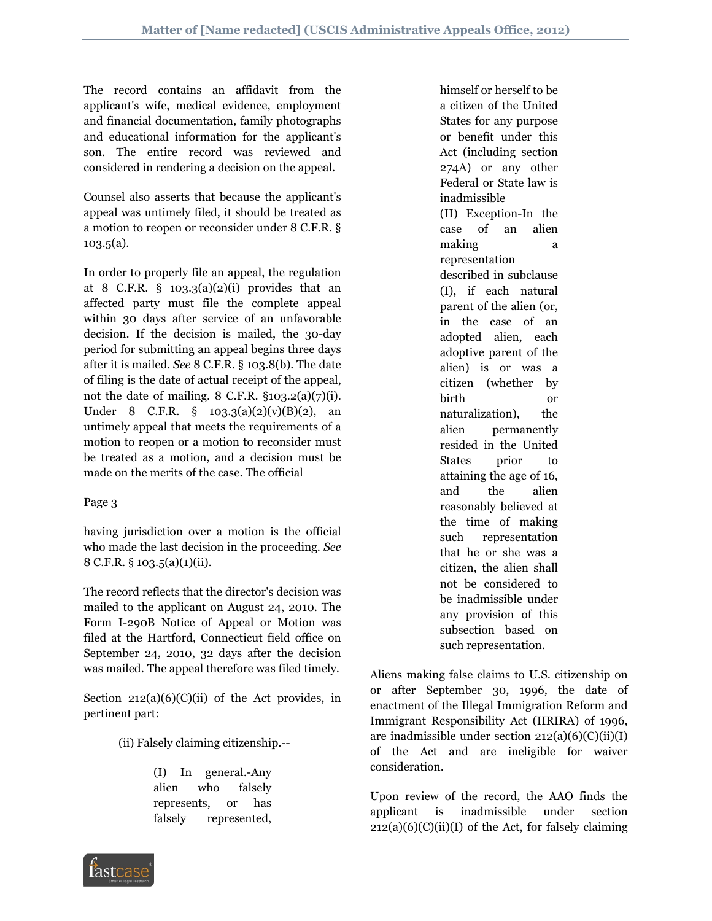The record contains an affidavit from the applicant's wife, medical evidence, employment and financial documentation, family photographs and educational information for the applicant's son. The entire record was reviewed and considered in rendering a decision on the appeal.

Counsel also asserts that because the applicant's appeal was untimely filed, it should be treated as a motion to reopen or reconsider under 8 C.F.R. § 103.5(a).

In order to properly file an appeal, the regulation at 8 C.F.R.  $\S$  103.3(a)(2)(i) provides that an affected party must file the complete appeal within 30 days after service of an unfavorable decision. If the decision is mailed, the 30-day period for submitting an appeal begins three days after it is mailed. *See* 8 C.F.R. § 103.8(b). The date of filing is the date of actual receipt of the appeal, not the date of mailing.  $8$  C.F.R.  $$103.2(a)(7)(i)$ . Under 8 C.F.R.  $\S$  103.3(a)(2)(v)(B)(2), an untimely appeal that meets the requirements of a motion to reopen or a motion to reconsider must be treated as a motion, and a decision must be made on the merits of the case. The official

# Page 3

having jurisdiction over a motion is the official who made the last decision in the proceeding. *See*  8 C.F.R. § 103.5(a)(1)(ii).

The record reflects that the director's decision was mailed to the applicant on August 24, 2010. The Form I-290B Notice of Appeal or Motion was filed at the Hartford, Connecticut field office on September 24, 2010, 32 days after the decision was mailed. The appeal therefore was filed timely.

Section  $212(a)(6)(C)(ii)$  of the Act provides, in pertinent part:

(ii) Falsely claiming citizenship.--

(I) In general.-Any alien who falsely represents, or has falsely represented,

himself or herself to be a citizen of the United States for any purpose or benefit under this Act (including section 274A) or any other Federal or State law is inadmissible (II) Exception-In the case of an alien making a a representation described in subclause (I), if each natural parent of the alien (or, in the case of an adopted alien, each adoptive parent of the alien) is or was a citizen (whether by birth or naturalization), the alien permanently resided in the United States prior to attaining the age of 16, and the alien reasonably believed at the time of making such representation that he or she was a citizen, the alien shall not be considered to be inadmissible under any provision of this subsection based on such representation.

Aliens making false claims to U.S. citizenship on or after September 30, 1996, the date of enactment of the Illegal Immigration Reform and Immigrant Responsibility Act (IIRIRA) of 1996, are inadmissible under section  $212(a)(6)(C)(ii)(I)$ of the Act and are ineligible for waiver consideration.

Upon review of the record, the AAO finds the applicant is inadmissible under section  $212(a)(6)(C)(ii)(I)$  of the Act, for falsely claiming

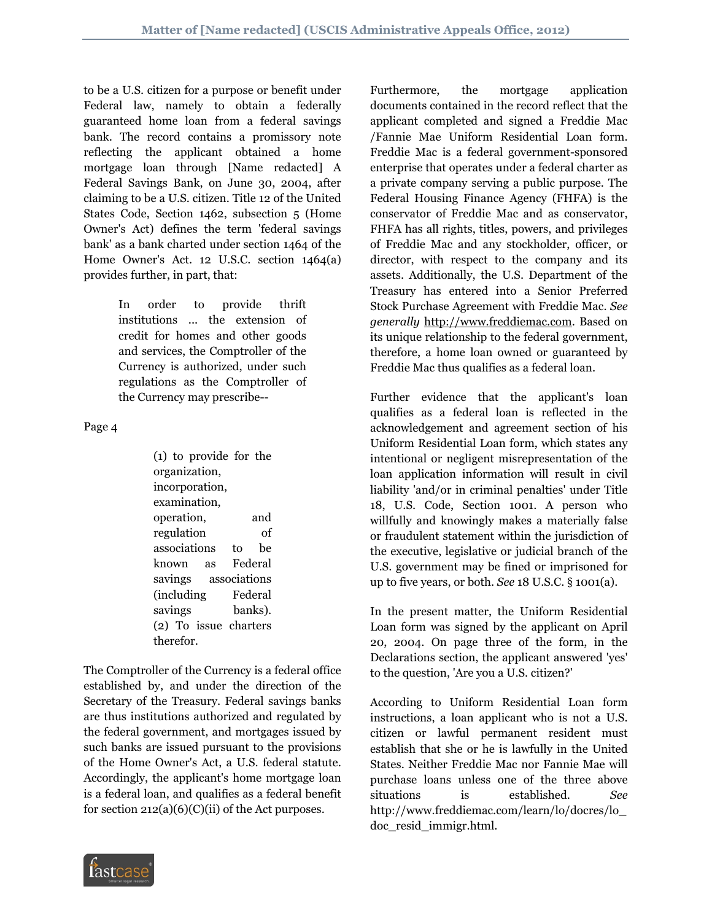to be a U.S. citizen for a purpose or benefit under Federal law, namely to obtain a federally guaranteed home loan from a federal savings bank. The record contains a promissory note reflecting the applicant obtained a home mortgage loan through [Name redacted] A Federal Savings Bank, on June 30, 2004, after claiming to be a U.S. citizen. Title 12 of the United States Code, Section 1462, subsection 5 (Home Owner's Act) defines the term 'federal savings bank' as a bank charted under section 1464 of the Home Owner's Act. 12 U.S.C. section 1464(a) provides further, in part, that:

> In order to provide thrift institutions ... the extension of credit for homes and other goods and services, the Comptroller of the Currency is authorized, under such regulations as the Comptroller of the Currency may prescribe--

Page 4

(1) to provide for the organization, incorporation, examination, operation, and regulation of associations to be known as Federal savings associations (including Federal savings banks). (2) To issue charters therefor.

The Comptroller of the Currency is a federal office established by, and under the direction of the Secretary of the Treasury. Federal savings banks are thus institutions authorized and regulated by the federal government, and mortgages issued by such banks are issued pursuant to the provisions of the Home Owner's Act, a U.S. federal statute. Accordingly, the applicant's home mortgage loan is a federal loan, and qualifies as a federal benefit for section  $212(a)(6)(C)(ii)$  of the Act purposes.

Furthermore, the mortgage application documents contained in the record reflect that the applicant completed and signed a Freddie Mac /Fannie Mae Uniform Residential Loan form. Freddie Mac is a federal government-sponsored enterprise that operates under a federal charter as a private company serving a public purpose. The Federal Housing Finance Agency (FHFA) is the conservator of Freddie Mac and as conservator, FHFA has all rights, titles, powers, and privileges of Freddie Mac and any stockholder, officer, or director, with respect to the company and its assets. Additionally, the U.S. Department of the Treasury has entered into a Senior Preferred Stock Purchase Agreement with Freddie Mac. *See generally* http://www.freddiemac.com. Based on its unique relationship to the federal government, therefore, a home loan owned or guaranteed by Freddie Mac thus qualifies as a federal loan.

Further evidence that the applicant's loan qualifies as a federal loan is reflected in the acknowledgement and agreement section of his Uniform Residential Loan form, which states any intentional or negligent misrepresentation of the loan application information will result in civil liability 'and/or in criminal penalties' under Title 18, U.S. Code, Section 1001. A person who willfully and knowingly makes a materially false or fraudulent statement within the jurisdiction of the executive, legislative or judicial branch of the U.S. government may be fined or imprisoned for up to five years, or both. *See* 18 U.S.C. § 1001(a).

In the present matter, the Uniform Residential Loan form was signed by the applicant on April 20, 2004. On page three of the form, in the Declarations section, the applicant answered 'yes' to the question, 'Are you a U.S. citizen?'

According to Uniform Residential Loan form instructions, a loan applicant who is not a U.S. citizen or lawful permanent resident must establish that she or he is lawfully in the United States. Neither Freddie Mac nor Fannie Mae will purchase loans unless one of the three above situations is established. *See*  http://www.freddiemac.com/learn/lo/docres/lo\_ doc\_resid\_immigr.html.